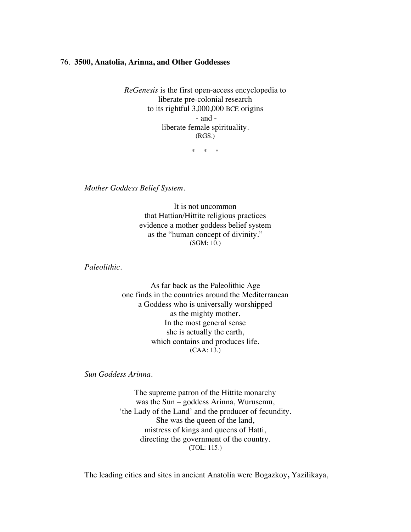## 76. **3500, Anatolia, Arinna, and Other Goddesses**

*ReGenesis* is the first open-access encyclopedia to liberate pre-colonial research to its rightful 3,000,000 BCE origins - and liberate female spirituality. (RGS.)

\* \* \*

*Mother Goddess Belief System.*

It is not uncommon that Hattian/Hittite religious practices evidence a mother goddess belief system as the "human concept of divinity." (SGM: 10.)

*Paleolithic.*

As far back as the Paleolithic Age one finds in the countries around the Mediterranean a Goddess who is universally worshipped as the mighty mother. In the most general sense she is actually the earth, which contains and produces life. (CAA: 13.)

*Sun Goddess Arinna.*

The supreme patron of the Hittite monarchy was the Sun – goddess Arinna, Wurusemu, 'the Lady of the Land' and the producer of fecundity. She was the queen of the land, mistress of kings and queens of Hatti, directing the government of the country. (TOL: 115.)

The leading cities and sites in ancient Anatolia were Bogazkoy**,** Yazilikaya,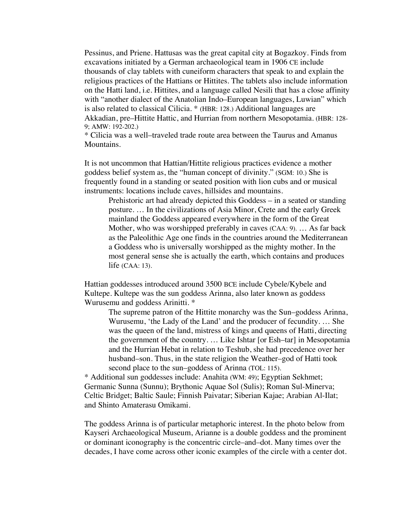Pessinus, and Priene. Hattusas was the great capital city at Bogazkoy. Finds from excavations initiated by a German archaeological team in 1906 CE include thousands of clay tablets with cuneiform characters that speak to and explain the religious practices of the Hattians or Hittites. The tablets also include information on the Hatti land, i.e. Hittites, and a language called Nesili that has a close affinity with "another dialect of the Anatolian Indo–European languages, Luwian" which is also related to classical Cilicia. \* (HBR: 128.) Additional languages are Akkadian, pre–Hittite Hattic, and Hurrian from northern Mesopotamia. (HBR: 128- 9; AMW: 192-202.)

\* Cilicia was a well–traveled trade route area between the Taurus and Amanus Mountains.

It is not uncommon that Hattian/Hittite religious practices evidence a mother goddess belief system as, the "human concept of divinity." (SGM: 10.) She is frequently found in a standing or seated position with lion cubs and or musical instruments: locations include caves, hillsides and mountains.

Prehistoric art had already depicted this Goddess – in a seated or standing posture. … In the civilizations of Asia Minor, Crete and the early Greek mainland the Goddess appeared everywhere in the form of the Great Mother, who was worshipped preferably in caves (CAA: 9). … As far back as the Paleolithic Age one finds in the countries around the Mediterranean a Goddess who is universally worshipped as the mighty mother. In the most general sense she is actually the earth, which contains and produces life (CAA: 13).

Hattian goddesses introduced around 3500 BCE include Cybele/Kybele and Kultepe. Kultepe was the sun goddess Arinna, also later known as goddess Wurusemu and goddess Arinitti. \*

The supreme patron of the Hittite monarchy was the Sun–goddess Arinna, Wurusemu, 'the Lady of the Land' and the producer of fecundity. … She was the queen of the land, mistress of kings and queens of Hatti, directing the government of the country. … Like Ishtar [or Esh–tar] in Mesopotamia and the Hurrian Hebat in relation to Teshub, she had precedence over her husband–son. Thus, in the state religion the Weather–god of Hatti took second place to the sun–goddess of Arinna (TOL: 115).

\* Additional sun goddesses include: Anahita (WM: 49); Egyptian Sekhmet; Germanic Sunna (Sunnu); Brythonic Aquae Sol (Sulis); Roman Sul-Minerva; Celtic Bridget; Baltic Saule; Finnish Paivatar; Siberian Kajae; Arabian Al-Ilat; and Shinto Amaterasu Omikami.

The goddess Arinna is of particular metaphoric interest. In the photo below from Kayseri Archaeological Museum, Arianne is a double goddess and the prominent or dominant iconography is the concentric circle–and–dot. Many times over the decades, I have come across other iconic examples of the circle with a center dot.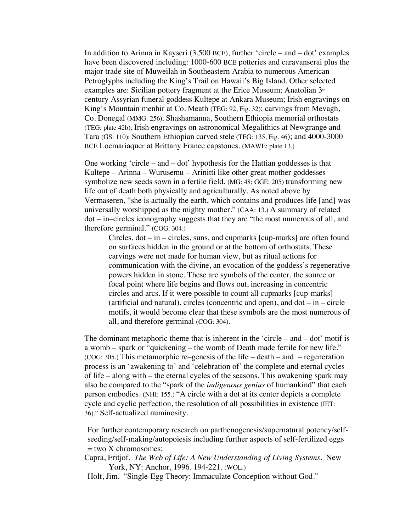In addition to Arinna in Kayseri (3,500 BCE), further 'circle – and – dot' examples have been discovered including: 1000-600 BCE potteries and caravanserai plus the major trade site of Muweilah in Southeastern Arabia to numerous American Petroglyphs including the King's Trail on Hawaii's Big Island. Other selected examples are: Sicilian pottery fragment at the Erice Museum; Anatolian  $3<sup>d</sup>$ century Assyrian funeral goddess Kultepe at Ankara Museum; Irish engravings on King's Mountain menhir at Co. Meath (TEG: 92, Fig. 32); carvings from Mevagh, Co. Donegal (MMG: 256); Shashamanna, Southern Ethiopia memorial orthostats (TEG: plate 42b); Irish engravings on astronomical Megalithics at Newgrange and Tara (GS: 110); Southern Ethiopian carved stele (TEG: 135, Fig. 46); and 4000-3000 BCE Locmariaquer at Brittany France capstones. (MAWE: plate 13.)

One working 'circle – and – dot' hypothesis for the Hattian goddesses is that Kultepe – Arinna – Wurusemu – Arinitti like other great mother goddesses symbolize new seeds sown in a fertile field, (MG: 48; GGE: 205) transforming new life out of death both physically and agriculturally. As noted above by Vermaseren, "she is actually the earth, which contains and produces life [and] was universally worshipped as the mighty mother." (CAA: 13.) A summary of related dot – in–circles iconography suggests that they are "the most numerous of all, and therefore germinal." (COG: 304.)

Circles, dot – in – circles, suns, and cupmarks [cup-marks] are often found on surfaces hidden in the ground or at the bottom of orthostats. These carvings were not made for human view, but as ritual actions for communication with the divine, an evocation of the goddess's regenerative powers hidden in stone. These are symbols of the center, the source or focal point where life begins and flows out, increasing in concentric circles and arcs. If it were possible to count all cupmarks [cup-marks] (artificial and natural), circles (concentric and open), and  $dot - in - circle$ motifs, it would become clear that these symbols are the most numerous of all, and therefore germinal (COG: 304).

The dominant metaphoric theme that is inherent in the 'circle – and – dot' motif is a womb – spark or "quickening – the womb of Death made fertile for new life." (COG: 305.) This metamorphic re–genesis of the life – death – and – regeneration process is an 'awakening to' and 'celebration of' the complete and eternal cycles of life – along with – the eternal cycles of the seasons. This awakening spark may also be compared to the "spark of the *indigenous genius* of humankind" that each person embodies. (NHI: 155.) "A circle with a dot at its center depicts a complete cycle and cyclic perfection, the resolution of all possibilities in existence (IET: 36)." Self-actualized numinosity.

For further contemporary research on parthenogenesis/supernatural potency/selfseeding/self-making/autopoiesis including further aspects of self-fertilized eggs  $=$  two X chromosomes:

Capra, Fritjof. *The Web of Life: A New Understanding of Living Systems*. New York, NY: Anchor, 1996. 194-221. (WOL.)

Holt, Jim. "Single-Egg Theory: Immaculate Conception without God."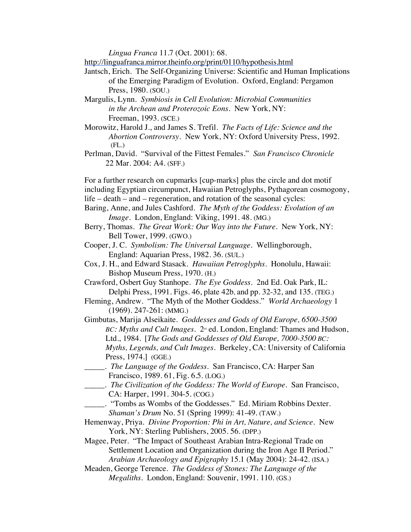*Lingua Franca* 11.7 (Oct. 2001): 68.

http://linguafranca.mirror.theinfo.org/print/0110/hypothesis.html

Jantsch, Erich. The Self-Organizing Universe: Scientific and Human Implications of the Emerging Paradigm of Evolution. Oxford, England: Pergamon Press, 1980. (SOU.)

Margulis, Lynn. *Symbiosis in Cell Evolution: Microbial Communities in the Archean and Proterozoic Eons*. New York, NY: Freeman, 1993. (SCE.)

Morowitz, Harold J., and James S. Trefil. *The Facts of Life: Science and the Abortion Controversy*. New York, NY: Oxford University Press, 1992. (FL.)

Perlman, David. "Survival of the Fittest Females." *San Francisco Chronicle*  22 Mar. 2004: A4. (SFF.)

For a further research on cupmarks [cup-marks] plus the circle and dot motif including Egyptian circumpunct, Hawaiian Petroglyphs, Pythagorean cosmogony, life – death – and – regeneration, and rotation of the seasonal cycles:

- Baring, Anne, and Jules Cashford. *The Myth of the Goddess: Evolution of an Image*. London, England: Viking, 1991. 48. (MG.)
- Berry, Thomas. *The Great Work: Our Way into the Future.* New York, NY: Bell Tower, 1999. (GWO.)

Cooper, J. C. *Symbolism: The Universal Language*. Wellingborough, England: Aquarian Press, 1982. 36. (SUL.)

Cox, J. H., and Edward Stasack. *Hawaiian Petroglyphs*. Honolulu, Hawaii: Bishop Museum Press, 1970. (H.)

Crawford, Osbert Guy Stanhope. *The Eye Goddess*. 2nd Ed. Oak Park, IL: Delphi Press, 1991. Figs. 46, plate 42b, and pp. 32-32, and 135. (TEG.)

Fleming, Andrew. "The Myth of the Mother Goddess." *World Archaeology* 1 (1969). 247-261: (MMG.)

Gimbutas, Marija Alseikaite. *Goddesses and Gods of Old Europe, 6500-3500 BC: Myths and Cult Images.* 2<sup>nd</sup> ed. London, England: Thames and Hudson, Ltd., 1984. [*The Gods and Goddesses of Old Europe, 7000-3500 BC: Myths, Legends, and Cult Images*. Berkeley, CA: University of California Press, 1974.] (GGE.)

\_\_\_\_\_. *The Language of the Goddess*. San Francisco, CA: Harper San Francisco, 1989. 61, Fig. 6.5. (LOG.)

- \_\_\_\_\_. "Tombs as Wombs of the Goddesses." Ed. Miriam Robbins Dexter. *Shaman's Drum* No. 51 (Spring 1999): 41-49. (TAW.)
- Hemenway, Priya. *Divine Proportion: Phi in Art, Nature, and Science*. New York, NY: Sterling Publishers, 2005. 56. (DPP.)

Magee, Peter. "The Impact of Southeast Arabian Intra-Regional Trade on Settlement Location and Organization during the Iron Age II Period." *Arabian Archaeology and Epigraphy* 15.1 (May 2004): 24-42. (ISA.)

Meaden, George Terence. *The Goddess of Stones: The Language of the Megaliths*. London, England: Souvenir, 1991. 110. (GS.)

\_\_\_\_\_. *The Civilization of the Goddess: The World of Europe*. San Francisco, CA: Harper, 1991. 304-5. (COG.)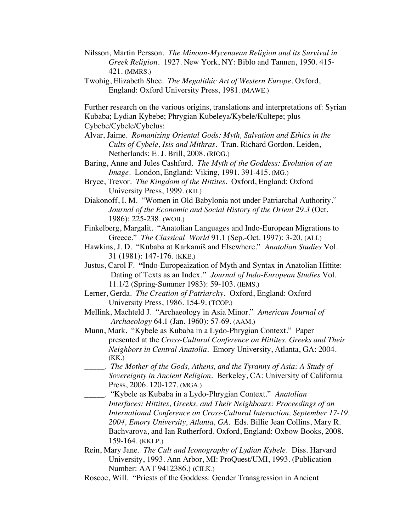- Nilsson, Martin Persson*. The Minoan-Mycenaean Religion and its Survival in Greek Religion.* 1927. New York, NY: Biblo and Tannen, 1950. 415- 421. (MMRS.)
- Twohig, Elizabeth Shee. *The Megalithic Art of Western Europe*. Oxford, England: Oxford University Press, 1981. (MAWE.)

Further research on the various origins, translations and interpretations of: Syrian Kubaba; Lydian Kybebe; Phrygian Kubeleya/Kybele/Kultepe; plus Cybebe/Cybele/Cybelus:

- Alvar, Jaime. *Romanizing Oriental Gods: Myth, Salvation and Ethics in the Cults of Cybele, Isis and Mithras*. Tran. Richard Gordon. Leiden, Netherlands: E. J. Brill, 2008. (RIOG.)
- Baring, Anne and Jules Cashford. *The Myth of the Goddess: Evolution of an Image*. London, England: Viking, 1991. 391-415. (MG.)
- Bryce, Trevor. *The Kingdom of the Hittites*. Oxford, England: Oxford University Press, 1999. (KH.)
- Diakonoff, I. M. "Women in Old Babylonia not under Patriarchal Authority." *Journal of the Economic and Social History of the Orient 29.3* (Oct. 1986): 225-238. (WOB.)
- Finkelberg, Margalit. "Anatolian Languages and Indo-European Migrations to Greece." *The Classical World* 91.1 (Sep.-Oct. 1997): 3-20. (ALI.)
- Hawkins, J. D. "Kubaba at Karkamiš and Elsewhere." *Anatolian Studies* Vol. 31 (1981): 147-176. (KKE.)
- Justus, Carol F. **"**Indo-Europeaization of Myth and Syntax in Anatolian Hittite: Dating of Texts as an Index*." Journal of Indo-European Studies* Vol. 11.1/2 (Spring-Summer 1983): 59-103. (IEMS.)
- Lerner, Gerda. *The Creation of Patriarchy.* Oxford, England: Oxford University Press, 1986. 154-9. (TCOP.)
- Mellink, Machteld J. "Archaeology in Asia Minor." *American Journal of Archaeology* 64.1 (Jan. 1960): 57-69. (AAM.)
- Munn, Mark. "Kybele as Kubaba in a Lydo-Phrygian Context." Paper presented at the *Cross-Cultural Conference on Hittites, Greeks and Their Neighbors in Central Anatolia.* Emory University, Atlanta, GA: 2004. (KK.)
- \_\_\_\_\_. *The Mother of the Gods, Athens, and the Tyranny of Asia: A Study of Sovereignty in Ancient Religion.* Berkeley, CA: University of California Press, 2006. 120-127. (MGA.)
- \_\_\_\_\_. "Kybele as Kubaba in a Lydo-Phrygian Context." *Anatolian Interfaces: Hittites, Greeks, and Their Neighbours: Proceedings of an International Conference on Cross-Cultural Interaction, September 17-19, 2004, Emory University, Atlanta, GA.* Eds. Billie Jean Collins, Mary R. Bachvarova, and Ian Rutherford. Oxford, England: Oxbow Books, 2008. 159-164. (KKLP.)
- Rein, Mary Jane. *The Cult and Iconography of Lydian Kybele*. Diss. Harvard University, 1993. Ann Arbor, MI: ProQuest/UMI, 1993. (Publication Number: AAT 9412386.) (CILK.)
- Roscoe, Will. "Priests of the Goddess: Gender Transgression in Ancient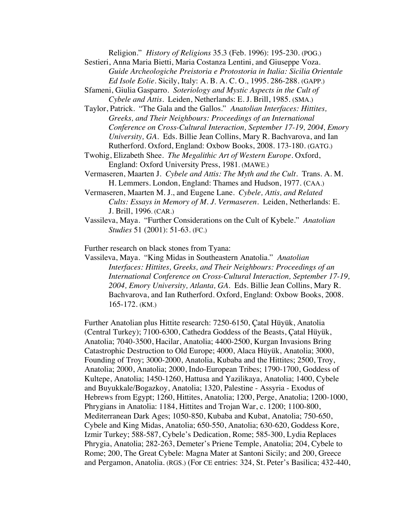Religion." *History of Religions* 35.3 (Feb. 1996): 195-230. (POG.) Sestieri, Anna Maria Bietti, Maria Costanza Lentini, and Giuseppe Voza. *Guide Archeologiche Preistoria e Protostoria in Italia: Sicilia Orientale Ed Isole Eolie.* Sicily, Italy: A. B. A. C. O., 1995. 286-288. (GAPP.) Sfameni, Giulia Gasparro. *Soteriology and Mystic Aspects in the Cult of*

*Cybele and Attis.* Leiden, Netherlands: E. J. Brill, 1985. (SMA.)

- Taylor, Patrick. "The Gala and the Gallos." *Anatolian Interfaces: Hittites, Greeks, and Their Neighbours: Proceedings of an International Conference on Cross-Cultural Interaction, September 17-19, 2004, Emory University, GA.* Eds. Billie Jean Collins, Mary R. Bachvarova, and Ian Rutherford. Oxford, England: Oxbow Books, 2008. 173-180. (GATG.)
- Twohig, Elizabeth Shee. *The Megalithic Art of Western Europe*. Oxford, England: Oxford University Press, 1981. (MAWE.)
- Vermaseren, Maarten J. *Cybele and Attis: The Myth and the Cult.* Trans. A. M. H. Lemmers. London, England: Thames and Hudson, 1977. (CAA.)
- Vermaseren, Maarten M. J., and Eugene Lane. *Cybele, Attis, and Related Cults: Essays in Memory of M. J. Vermaseren*. Leiden, Netherlands: E. J. Brill, 1996. (CAR.)
- Vassileva, Maya. "Further Considerations on the Cult of Kybele." *Anatolian Studies* 51 (2001): 51-63. (FC.)

Further research on black stones from Tyana:

Vassileva, Maya. "King Midas in Southeastern Anatolia." *Anatolian Interfaces: Hittites, Greeks, and Their Neighbours: Proceedings of an International Conference on Cross-Cultural Interaction, September 17-19, 2004, Emory University, Atlanta, GA.* Eds. Billie Jean Collins, Mary R. Bachvarova, and Ian Rutherford. Oxford, England: Oxbow Books, 2008. 165-172. (KM.)

Further Anatolian plus Hittite research: 7250-6150, Çatal Hüyük, Anatolia (Central Turkey); 7100-6300, Cathedra Goddess of the Beasts, Çatal Hüyük, Anatolia; 7040-3500, Hacilar, Anatolia; 4400-2500, Kurgan Invasions Bring Catastrophic Destruction to Old Europe; 4000, Alaca Hüyük, Anatolia; 3000, Founding of Troy; 3000-2000, Anatolia, Kubaba and the Hittites; 2500, Troy, Anatolia; 2000, Anatolia; 2000, Indo-European Tribes; 1790-1700, Goddess of Kultepe, Anatolia; 1450-1260, Hattusa and Yazilikaya, Anatolia; 1400, Cybele and Buyukkale/Bogazkoy, Anatolia; 1320, Palestine - Assyria - Exodus of Hebrews from Egypt; 1260, Hittites, Anatolia; 1200, Perge, Anatolia; 1200-1000, Phrygians in Anatolia: 1184, Hittites and Trojan War, c. 1200; 1100-800, Mediterranean Dark Ages; 1050-850, Kubaba and Kubat, Anatolia; 750-650, Cybele and King Midas, Anatolia; 650-550, Anatolia; 630-620, Goddess Kore, Izmir Turkey; 588-587, Cybele's Dedication, Rome; 585-300, Lydia Replaces Phrygia, Anatolia; 282-263, Demeter's Priene Temple, Anatolia; 204, Cybele to Rome; 200, The Great Cybele: Magna Mater at Santoni Sicily; and 200, Greece and Pergamon, Anatolia. (RGS.) (For CE entries: 324, St. Peter's Basilica; 432-440,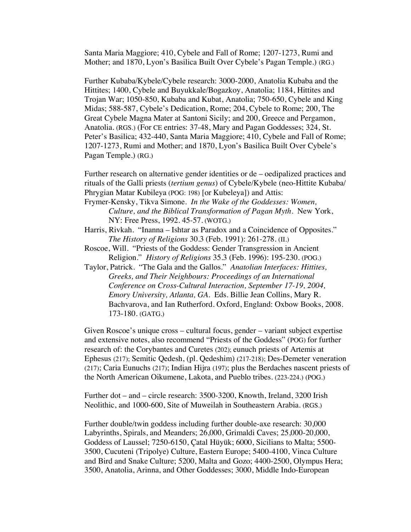Santa Maria Maggiore; 410, Cybele and Fall of Rome; 1207-1273, Rumi and Mother; and 1870, Lyon's Basilica Built Over Cybele's Pagan Temple.) (RG.)

Further Kubaba/Kybele/Cybele research: 3000-2000, Anatolia Kubaba and the Hittites; 1400, Cybele and Buyukkale/Bogazkoy, Anatolia; 1184, Hittites and Trojan War; 1050-850, Kubaba and Kubat, Anatolia; 750-650, Cybele and King Midas; 588-587, Cybele's Dedication, Rome; 204, Cybele to Rome; 200, The Great Cybele Magna Mater at Santoni Sicily; and 200, Greece and Pergamon, Anatolia. (RGS.) (For CE entries: 37-48, Mary and Pagan Goddesses; 324, St. Peter's Basilica; 432-440, Santa Maria Maggiore; 410, Cybele and Fall of Rome; 1207-1273, Rumi and Mother; and 1870, Lyon's Basilica Built Over Cybele's Pagan Temple.) (RG.)

Further research on alternative gender identities or de – oedipalized practices and rituals of the Galli priests (*tertium genus*) of Cybele/Kybele (neo-Hittite Kubaba/ Phrygian Matar Kubileya (POG: 198) [or Kubeleya]) and Attis:

- Frymer-Kensky, Tikva Simone. *In the Wake of the Goddesses: Women, Culture, and the Biblical Transformation of Pagan Myth*. New York, NY: Free Press, 1992. 45-57. (WOTG.)
- Harris, Rivkah. "Inanna Ishtar as Paradox and a Coincidence of Opposites." *The History of Religions* 30.3 (Feb. 1991): 261-278. (II.)
- Roscoe, Will. "Priests of the Goddess: Gender Transgression in Ancient Religion." *History of Religions* 35.3 (Feb. 1996): 195-230. (POG.)
- Taylor, Patrick. "The Gala and the Gallos." *Anatolian Interfaces: Hittites, Greeks, and Their Neighbours: Proceedings of an International Conference on Cross-Cultural Interaction, September 17-19, 2004, Emory University, Atlanta, GA.* Eds. Billie Jean Collins, Mary R. Bachvarova, and Ian Rutherford. Oxford, England: Oxbow Books, 2008. 173-180. (GATG.)

Given Roscoe's unique cross – cultural focus, gender – variant subject expertise and extensive notes, also recommend "Priests of the Goddess" (POG) for further research of: the Corybantes and Curetes (202); eunuch priests of Artemis at Ephesus (217); Semitic Qedesh, (pl. Qedeshim) (217-218); Des-Demeter veneration (217); Caria Eunuchs (217); Indian Hijra (197); plus the Berdaches nascent priests of the North American Oikumene, Lakota, and Pueblo tribes. (223-224.) (POG.)

Further dot – and – circle research: 3500-3200, Knowth, Ireland, 3200 Irish Neolithic, and 1000-600, Site of Muweilah in Southeastern Arabia. (RGS.)

Further double/twin goddess including further double-axe research: 30,000 Labyrinths, Spirals, and Meanders; 26,000, Grimaldi Caves; 25,000-20,000, Goddess of Laussel; 7250-6150, Çatal Hüyük; 6000, Sicilians to Malta; 5500- 3500, Cucuteni (Tripolye) Culture, Eastern Europe; 5400-4100, Vinca Culture and Bird and Snake Culture; 5200, Malta and Gozo; 4400-2500, Olympus Hera; 3500, Anatolia, Arinna, and Other Goddesses; 3000, Middle Indo-European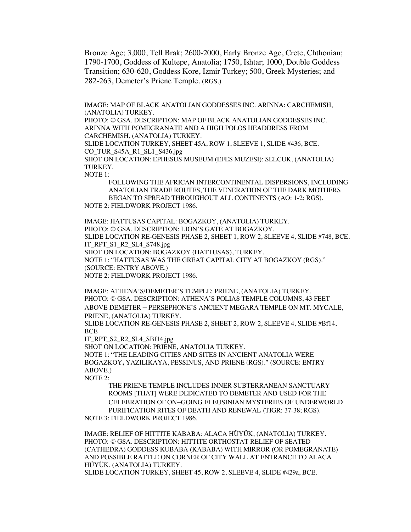Bronze Age; 3,000, Tell Brak; 2600-2000, Early Bronze Age, Crete, Chthonian; 1790-1700, Goddess of Kultepe, Anatolia; 1750, Ishtar; 1000, Double Goddess Transition; 630-620, Goddess Kore, Izmir Turkey; 500, Greek Mysteries; and 282-263, Demeter's Priene Temple. (RGS.)

IMAGE: MAP OF BLACK ANATOLIAN GODDESSES INC. ARINNA: CARCHEMISH, (ANATOLIA) TURKEY.

PHOTO: © GSA. DESCRIPTION: MAP OF BLACK ANATOLIAN GODDESSES INC. ARINNA WITH POMEGRANATE AND A HIGH POLOS HEADDRESS FROM CARCHEMISH, (ANATOLIA) TURKEY.

SLIDE LOCATION TURKEY, SHEET 45A, ROW 1, SLEEVE 1, SLIDE #436, BCE. CO\_TUR\_S45A\_R1\_SL1\_S436.jpg

SHOT ON LOCATION: EPHESUS MUSEUM (EFES MUZESI): SELCUK, (ANATOLIA) TURKEY.

NOTE 1:

FOLLOWING THE AFRICAN INTERCONTINENTAL DISPERSIONS, INCLUDING ANATOLIAN TRADE ROUTES, THE VENERATION OF THE DARK MOTHERS BEGAN TO SPREAD THROUGHOUT ALL CONTINENTS (AO: 1-2; RGS). NOTE 2: FIELDWORK PROJECT 1986.

IMAGE: HATTUSAS CAPITAL: BOGAZKOY, (ANATOLIA) TURKEY. PHOTO: © GSA. DESCRIPTION: LION'S GATE AT BOGAZKOY. SLIDE LOCATION RE-GENESIS PHASE 2, SHEET 1, ROW 2, SLEEVE 4, SLIDE #748, BCE. IT\_RPT\_S1\_R2\_SL4\_S748.jpg SHOT ON LOCATION: BOGAZKOY (HATTUSAS), TURKEY. NOTE 1: "HATTUSAS WAS THE GREAT CAPITAL CITY AT BOGAZKOY (RGS)." (SOURCE: ENTRY ABOVE.) NOTE 2: FIELDWORK PROJECT 1986.

IMAGE: ATHENA'S/DEMETER'S TEMPLE: PRIENE, (ANATOLIA) TURKEY. PHOTO: © GSA. DESCRIPTION: ATHENA'S POLIAS TEMPLE COLUMNS, 43 FEET ABOVE DEMETER – PERSEPHONE'S ANCIENT MEGARA TEMPLE ON MT. MYCALE, PRIENE, (ANATOLIA) TURKEY.

SLIDE LOCATION RE-GENESIS PHASE 2, SHEET 2, ROW 2, SLEEVE 4, SLIDE #Bf14, BCE

IT\_RPT\_S2\_R2\_SL4\_SBf14.jpg

SHOT ON LOCATION: PRIENE, ANATOLIA TURKEY.

NOTE 1: "THE LEADING CITIES AND SITES IN ANCIENT ANATOLIA WERE BOGAZKOY**,** YAZILIKAYA, PESSINUS, AND PRIENE (RGS)." (SOURCE: ENTRY ABOVE.)

NOTE 2:

THE PRIENE TEMPLE INCLUDES INNER SUBTERRANEAN SANCTUARY ROOMS [THAT] WERE DEDICATED TO DEMETER AND USED FOR THE CELEBRATION OF ON–GOING ELEUSINIAN MYSTERIES OF UNDERWORLD PURIFICATION RITES OF DEATH AND RENEWAL (TIGR: 37-38; RGS). NOTE 3: FIELDWORK PROJECT 1986.

IMAGE: RELIEF OF HITTITE KABABA: ALACA HÜYÜK, (ANATOLIA) TURKEY. PHOTO: © GSA. DESCRIPTION: HITTITE ORTHOSTAT RELIEF OF SEATED (CATHEDRA) GODDESS KUBABA (KABABA) WITH MIRROR (OR POMEGRANATE) AND POSSIBLE RATTLE ON CORNER OF CITY WALL AT ENTRANCE TO ALACA HÜYÜK, (ANATOLIA) TURKEY.

SLIDE LOCATION TURKEY, SHEET 45, ROW 2, SLEEVE 4, SLIDE #429a, BCE.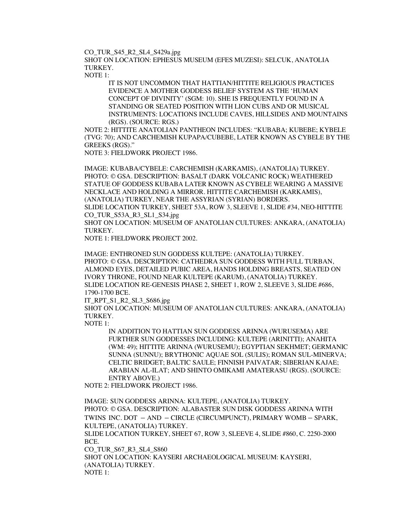CO\_TUR\_S45\_R2\_SL4\_S429a.jpg

SHOT ON LOCATION: EPHESUS MUSEUM (EFES MUZESI): SELCUK, ANATOLIA TURKEY.

NOTE 1:

IT IS NOT UNCOMMON THAT HATTIAN/HITTITE RELIGIOUS PRACTICES EVIDENCE A MOTHER GODDESS BELIEF SYSTEM AS THE 'HUMAN CONCEPT OF DIVINITY' (SGM: 10). SHE IS FREQUENTLY FOUND IN A STANDING OR SEATED POSITION WITH LION CUBS AND OR MUSICAL INSTRUMENTS: LOCATIONS INCLUDE CAVES, HILLSIDES AND MOUNTAINS (RGS). (SOURCE: RGS.)

NOTE 2: HITTITE ANATOLIAN PANTHEON INCLUDES: "KUBABA; KUBEBE; KYBELE (TVG: 70); AND CARCHEMISH KUPAPA/CUBEBE, LATER KNOWN AS CYBELE BY THE GREEKS (RGS)."

NOTE 3: FIELDWORK PROJECT 1986.

IMAGE: KUBABA/CYBELE: CARCHEMISH (KARKAMIS), (ANATOLIA) TURKEY. PHOTO: © GSA. DESCRIPTION: BASALT (DARK VOLCANIC ROCK) WEATHERED STATUE OF GODDESS KUBABA LATER KNOWN AS CYBELE WEARING A MASSIVE NECKLACE AND HOLDING A MIRROR. HITTITE CARCHEMISH (KARKAMIS), (ANATOLIA) TURKEY, NEAR THE ASSYRIAN (SYRIAN) BORDERS. SLIDE LOCATION TURKEY, SHEET 53A, ROW 3, SLEEVE 1, SLIDE #34, NEO-HITTITE

CO\_TUR\_S53A\_R3\_SL1\_S34.jpg

SHOT ON LOCATION: MUSEUM OF ANATOLIAN CULTURES: ANKARA, (ANATOLIA) TURKEY.

NOTE 1: FIELDWORK PROJECT 2002.

IMAGE: ENTHRONED SUN GODDESS KULTEPE: (ANATOLIA) TURKEY. PHOTO: © GSA. DESCRIPTION: CATHEDRA SUN GODDESS WITH FULL TURBAN, ALMOND EYES, DETAILED PUBIC AREA, HANDS HOLDING BREASTS, SEATED ON IVORY THRONE, FOUND NEAR KULTEPE (KARUM), (ANATOLIA) TURKEY. SLIDE LOCATION RE-GENESIS PHASE 2, SHEET 1, ROW 2, SLEEVE 3, SLIDE #686, 1790-1700 BCE.

IT\_RPT\_S1\_R2\_SL3\_S686.jpg

SHOT ON LOCATION: MUSEUM OF ANATOLIAN CULTURES: ANKARA, (ANATOLIA) TURKEY.

NOTE 1:

IN ADDITION TO HATTIAN SUN GODDESS ARINNA (WURUSEMA) ARE FURTHER SUN GODDESSES INCLUDING: KULTEPE (ARINITTI); ANAHITA (WM: 49); HITTITE ARINNA (WURUSEMU); EGYPTIAN SEKHMET; GERMANIC SUNNA (SUNNU); BRYTHONIC AQUAE SOL (SULIS); ROMAN SUL-MINERVA; CELTIC BRIDGET; BALTIC SAULE; FINNISH PAIVATAR; SIBERIAN KAJAE; ARABIAN AL-ILAT; AND SHINTO OMIKAMI AMATERASU (RGS). (SOURCE: ENTRY ABOVE.)

NOTE 2: FIELDWORK PROJECT 1986.

IMAGE: SUN GODDESS ARINNA: KULTEPE, (ANATOLIA) TURKEY. PHOTO: © GSA. DESCRIPTION: ALABASTER SUN DISK GODDESS ARINNA WITH TWINS INC. DOT – AND – CIRCLE (CIRCUMPUNCT), PRIMARY WOMB – SPARK, KULTEPE, (ANATOLIA) TURKEY. SLIDE LOCATION TURKEY, SHEET 67, ROW 3, SLEEVE 4, SLIDE #860, C. 2250-2000 BCE. CO\_TUR\_S67\_R3\_SL4\_S860 SHOT ON LOCATION: KAYSERI ARCHAEOLOGICAL MUSEUM: KAYSERI, (ANATOLIA) TURKEY. NOTE 1: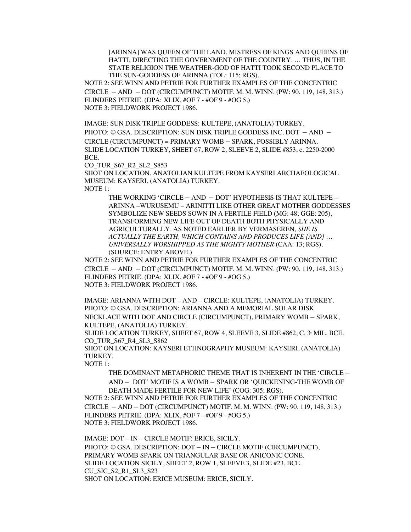[ARINNA] WAS QUEEN OF THE LAND, MISTRESS OF KINGS AND QUEENS OF HATTI, DIRECTING THE GOVERNMENT OF THE COUNTRY. … THUS, IN THE STATE RELIGION THE WEATHER-GOD OF HATTI TOOK SECOND PLACE TO THE SUN-GODDESS OF ARINNA (TOL: 115; RGS).

NOTE 2: SEE WINN AND PETRIE FOR FURTHER EXAMPLES OF THE CONCENTRIC CIRCLE – AND – DOT (CIRCUMPUNCT) MOTIF. M. M. WINN. (PW: 90, 119, 148, 313.) FLINDERS PETRIE. (DPA: XLIX, #OF 7 - #OF 9 - #OG 5.) NOTE 3: FIELDWORK PROJECT 1986.

IMAGE: SUN DISK TRIPLE GODDESS: KULTEPE, (ANATOLIA) TURKEY.

PHOTO: © GSA. DESCRIPTION: SUN DISK TRIPLE GODDESS INC. DOT – AND – CIRCLE (CIRCUMPUNCT) = PRIMARY WOMB – SPARK, POSSIBLY ARINNA. SLIDE LOCATION TURKEY, SHEET 67, ROW 2, SLEEVE 2, SLIDE #853, c. 2250-2000 BCE.

CO\_TUR\_S67\_R2\_SL2\_S853

SHOT ON LOCATION. ANATOLIAN KULTEPE FROM KAYSERI ARCHAEOLOGICAL MUSEUM: KAYSERI, (ANATOLIA) TURKEY. NOTE 1:

THE WORKING 'CIRCLE – AND – DOT' HYPOTHESIS IS THAT KULTEPE – ARINNA –WURUSEMU – ARINITTI LIKE OTHER GREAT MOTHER GODDESSES SYMBOLIZE NEW SEEDS SOWN IN A FERTILE FIELD (MG: 48; GGE: 205), TRANSFORMING NEW LIFE OUT OF DEATH BOTH PHYSICALLY AND AGRICULTURALLY. AS NOTED EARLIER BY VERMASEREN, *SHE IS ACTUALLY THE EARTH, WHICH CONTAINS AND PRODUCES LIFE [AND] … UNIVERSALLY WORSHIPPED AS THE MIGHTY MOTHER* (CAA: 13; RGS). (SOURCE: ENTRY ABOVE.)

NOTE 2: SEE WINN AND PETRIE FOR FURTHER EXAMPLES OF THE CONCENTRIC CIRCLE – AND – DOT (CIRCUMPUNCT) MOTIF. M. M. WINN. (PW: 90, 119, 148, 313.) FLINDERS PETRIE. (DPA: XLIX, #OF 7 - #OF 9 - #OG 5.) NOTE 3: FIELDWORK PROJECT 1986.

IMAGE: ARIANNA WITH DOT – AND – CIRCLE: KULTEPE, (ANATOLIA) TURKEY. PHOTO: © GSA. DESCRIPTION: ARIANNA AND A MEMORIAL SOLAR DISK NECKLACE WITH DOT AND CIRCLE (CIRCUMPUNCT), PRIMARY WOMB – SPARK, KULTEPE, (ANATOLIA) TURKEY.

SLIDE LOCATION TURKEY, SHEET 67, ROW 4, SLEEVE 3, SLIDE #862, C. 3 MIL. BCE. CO\_TUR\_S67\_R4\_SL3\_S862

SHOT ON LOCATION: KAYSERI ETHNOGRAPHY MUSEUM: KAYSERI, (ANATOLIA) TURKEY.

NOTE 1:

THE DOMINANT METAPHORIC THEME THAT IS INHERENT IN THE 'CIRCLE –

AND – DOT' MOTIF IS A WOMB – SPARK OR 'QUICKENING-THE WOMB OF DEATH MADE FERTILE FOR NEW LIFE' (COG: 305; RGS).

NOTE 2: SEE WINN AND PETRIE FOR FURTHER EXAMPLES OF THE CONCENTRIC CIRCLE – AND – DOT (CIRCUMPUNCT) MOTIF. M. M. WINN. (PW: 90, 119, 148, 313.) FLINDERS PETRIE. (DPA: XLIX, #OF 7 - #OF 9 - #OG 5.) NOTE 3: FIELDWORK PROJECT 1986.

IMAGE: DOT – IN – CIRCLE MOTIF: ERICE, SICILY. PHOTO: © GSA. DESCRIPTION: DOT – IN – CIRCLE MOTIF (CIRCUMPUNCT), PRIMARY WOMB SPARK ON TRIANGULAR BASE OR ANICONIC CONE. SLIDE LOCATION SICILY, SHEET 2, ROW 1, SLEEVE 3, SLIDE #23, BCE. CU\_SIC\_S2\_R1\_SL3\_S23 SHOT ON LOCATION: ERICE MUSEUM: ERICE, SICILY.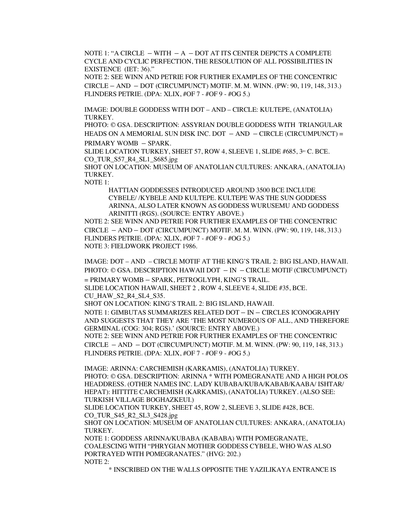NOTE 1: "A CIRCLE – WITH  $-A$  – DOT AT ITS CENTER DEPICTS A COMPLETE CYCLE AND CYCLIC PERFECTION, THE RESOLUTION OF ALL POSSIBILITIES IN EXISTENCE (IET: 36)."

NOTE 2: SEE WINN AND PETRIE FOR FURTHER EXAMPLES OF THE CONCENTRIC CIRCLE – AND – DOT (CIRCUMPUNCT) MOTIF. M. M. WINN. (PW: 90, 119, 148, 313.) FLINDERS PETRIE. (DPA: XLIX, #OF 7 - #OF 9 - #OG 5.)

IMAGE: DOUBLE GODDESS WITH DOT – AND – CIRCLE: KULTEPE, (ANATOLIA) TURKEY.

PHOTO: © GSA. DESCRIPTION: ASSYRIAN DOUBLE GODDESS WITH TRIANGULAR HEADS ON A MEMORIAL SUN DISK INC. DOT  $-$  AND  $-$  CIRCLE (CIRCUMPUNCT) = PRIMARY WOMB – SPARK.

SLIDE LOCATION TURKEY, SHEET 57, ROW 4, SLEEVE 1, SLIDE #685,  $3$ <sup>to</sup> C. BCE. CO\_TUR\_S57\_R4\_SL1\_S685.jpg

SHOT ON LOCATION: MUSEUM OF ANATOLIAN CULTURES: ANKARA, (ANATOLIA) TURKEY.

NOTE 1:

HATTIAN GODDESSES INTRODUCED AROUND 3500 BCE INCLUDE CYBELE/ /KYBELE AND KULTEPE. KULTEPE WAS THE SUN GODDESS ARINNA, ALSO LATER KNOWN AS GODDESS WURUSEMU AND GODDESS ARINITTI (RGS). (SOURCE: ENTRY ABOVE.)

NOTE 2: SEE WINN AND PETRIE FOR FURTHER EXAMPLES OF THE CONCENTRIC CIRCLE – AND – DOT (CIRCUMPUNCT) MOTIF. M. M. WINN. (PW: 90, 119, 148, 313.) FLINDERS PETRIE. (DPA: XLIX, #OF 7 - #OF 9 - #OG 5.) NOTE 3: FIELDWORK PROJECT 1986.

IMAGE: DOT – AND – CIRCLE MOTIF AT THE KING'S TRAIL 2: BIG ISLAND, HAWAII. PHOTO: © GSA. DESCRIPTION HAWAII DOT – IN – CIRCLE MOTIF (CIRCUMPUNCT) = PRIMARY WOMB – SPARK, PETROGLYPH, KING'S TRAIL.

SLIDE LOCATION HAWAII, SHEET 2 , ROW 4, SLEEVE 4, SLIDE #35, BCE. CU\_HAW\_S2\_R4\_SL4\_S35.

SHOT ON LOCATION: KING'S TRAIL 2: BIG ISLAND, HAWAII.

NOTE 1: GIMBUTAS SUMMARIZES RELATED DOT – IN – CIRCLES ICONOGRAPHY AND SUGGESTS THAT THEY ARE 'THE MOST NUMEROUS OF ALL, AND THEREFORE GERMINAL (COG: 304; RGS).' (SOURCE: ENTRY ABOVE.)

NOTE 2: SEE WINN AND PETRIE FOR FURTHER EXAMPLES OF THE CONCENTRIC CIRCLE – AND – DOT (CIRCUMPUNCT) MOTIF. M. M. WINN. (PW: 90, 119, 148, 313.) FLINDERS PETRIE. (DPA: XLIX, #OF 7 - #OF 9 - #OG 5.)

IMAGE: ARINNA: CARCHEMISH (KARKAMIS), (ANATOLIA) TURKEY. PHOTO: © GSA. DESCRIPTION: ARINNA \* WITH POMEGRANATE AND A HIGH POLOS HEADDRESS. (OTHER NAMES INC. LADY KUBABA/KUBA/KABAB/KAABA/ ISHTAR/ HEPAT): HITTITE CARCHEMISH (KARKAMIS), (ANATOLIA) TURKEY. (ALSO SEE: TURKISH VILLAGE BOGHAZKEUI.)

SLIDE LOCATION TURKEY, SHEET 45, ROW 2, SLEEVE 3, SLIDE #428, BCE. CO\_TUR\_S45\_R2\_SL3\_S428.jpg

SHOT ON LOCATION: MUSEUM OF ANATOLIAN CULTURES: ANKARA, (ANATOLIA) TURKEY.

NOTE 1: GODDESS ARINNA/KUBABA (KABABA) WITH POMEGRANATE, COALESCING WITH "PHRYGIAN MOTHER GODDESS CYBELE, WHO WAS ALSO PORTRAYED WITH POMEGRANATES." (HVG: 202.) NOTE 2:

\* INSCRIBED ON THE WALLS OPPOSITE THE YAZILIKAYA ENTRANCE IS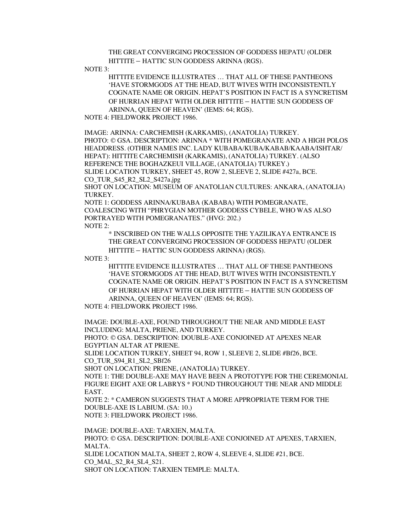THE GREAT CONVERGING PROCESSION OF GODDESS HEPATU (OLDER HITTITE – HATTIC SUN GODDESS ARINNA (RGS).

NOTE 3:

HITTITE EVIDENCE ILLUSTRATES … THAT ALL OF THESE PANTHEONS 'HAVE STORMGODS AT THE HEAD, BUT WIVES WITH INCONSISTENTLY COGNATE NAME OR ORIGIN. HEPAT'S POSITION IN FACT IS A SYNCRETISM OF HURRIAN HEPAT WITH OLDER HITTITE – HATTIE SUN GODDESS OF ARINNA, QUEEN OF HEAVEN' (IEMS: 64; RGS).

NOTE 4: FIELDWORK PROJECT 1986.

IMAGE: ARINNA: CARCHEMISH (KARKAMIS), (ANATOLIA) TURKEY. PHOTO: © GSA. DESCRIPTION: ARINNA \* WITH POMEGRANATE AND A HIGH POLOS HEADDRESS. (OTHER NAMES INC. LADY KUBABA/KUBA/KABAB/KAABA/ISHTAR/ HEPAT): HITTITE CARCHEMISH (KARKAMIS), (ANATOLIA) TURKEY. (ALSO REFERENCE THE BOGHAZKEUI VILLAGE, (ANATOLIA) TURKEY.) SLIDE LOCATION TURKEY, SHEET 45, ROW 2, SLEEVE 2, SLIDE #427a, BCE. CO\_TUR\_S45\_R2\_SL2\_S427a.jpg

SHOT ON LOCATION: MUSEUM OF ANATOLIAN CULTURES: ANKARA, (ANATOLIA) TURKEY.

NOTE 1: GODDESS ARINNA/KUBABA (KABABA) WITH POMEGRANATE, COALESCING WITH "PHRYGIAN MOTHER GODDESS CYBELE, WHO WAS ALSO PORTRAYED WITH POMEGRANATES." (HVG: 202.) NOTE 2:

\* INSCRIBED ON THE WALLS OPPOSITE THE YAZILIKAYA ENTRANCE IS THE GREAT CONVERGING PROCESSION OF GODDESS HEPATU (OLDER HITTITE – HATTIC SUN GODDESS ARINNA) (RGS).

NOTE 3:

HITTITE EVIDENCE ILLUSTRATES … THAT ALL OF THESE PANTHEONS 'HAVE STORMGODS AT THE HEAD, BUT WIVES WITH INCONSISTENTLY COGNATE NAME OR ORIGIN. HEPAT'S POSITION IN FACT IS A SYNCRETISM OF HURRIAN HEPAT WITH OLDER HITTITE – HATTIE SUN GODDESS OF ARINNA, QUEEN OF HEAVEN' (IEMS: 64; RGS).

NOTE 4: FIELDWORK PROJECT 1986.

IMAGE: DOUBLE-AXE, FOUND THROUGHOUT THE NEAR AND MIDDLE EAST INCLUDING: MALTA, PRIENE, AND TURKEY.

PHOTO: © GSA. DESCRIPTION: DOUBLE-AXE CONJOINED AT APEXES NEAR EGYPTIAN ALTAR AT PRIENE.

SLIDE LOCATION TURKEY, SHEET 94, ROW 1, SLEEVE 2, SLIDE #Bf26, BCE. CO TUR S94 R1 SL2 SBf26

SHOT ON LOCATION: PRIENE, (ANATOLIA) TURKEY.

NOTE 1: THE DOUBLE-AXE MAY HAVE BEEN A PROTOTYPE FOR THE CEREMONIAL FIGURE EIGHT AXE OR LABRYS \* FOUND THROUGHOUT THE NEAR AND MIDDLE EAST.

NOTE 2: \* CAMERON SUGGESTS THAT A MORE APPROPRIATE TERM FOR THE DOUBLE-AXE IS LABIUM. (SA: 10.) NOTE 3: FIELDWORK PROJECT 1986.

IMAGE: DOUBLE-AXE: TARXIEN, MALTA. PHOTO: © GSA. DESCRIPTION: DOUBLE-AXE CONJOINED AT APEXES, TARXIEN, MALTA. SLIDE LOCATION MALTA, SHEET 2, ROW 4, SLEEVE 4, SLIDE #21, BCE. CO\_MAL\_S2\_R4\_SL4\_S21. SHOT ON LOCATION: TARXIEN TEMPLE: MALTA.